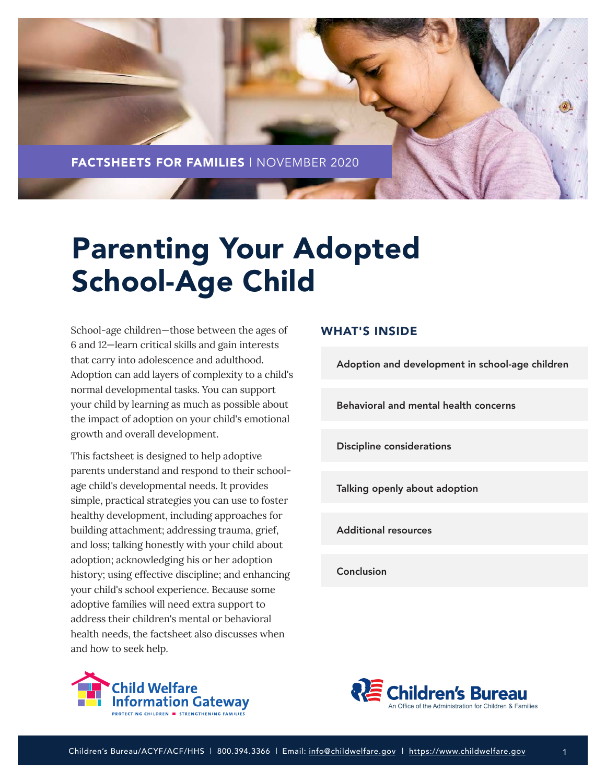

# Parenting Your Adopted School-Age Child

School-age children—those between the ages of 6 and 12—learn critical skills and gain interests that carry into adolescence and adulthood. Adoption can add layers of complexity to a child's normal developmental tasks. You can support your child by learning as much as possible about the impact of adoption on your child's emotional growth and overall development.

This factsheet is designed to help adoptive parents understand and respond to their schoolage child's developmental needs. It provides simple, practical strategies you can use to foster healthy development, including approaches for building attachment; addressing trauma, grief, and loss; talking honestly with your child about adoption; acknowledging his or her adoption history; using effective discipline; and enhancing your child's school experience. Because some adoptive families will need extra support to address their children's mental or behavioral health needs, the factsheet also discusses when and how to seek help.

## hild Welfare **formation Gateway** .<br>G CHILDREN ■ STRENGTHENING FAMILIE

## WHAT'S INSIDE

[Adoption and development in school-age children](#page-1-0)

[Behavioral and mental health concerns](#page-3-0)

[Discipline considerations](#page-6-0)

[Talking openly about adoption](#page-8-0)

[Additional resources](#page-13-0)

[Conclusion](#page-13-0)

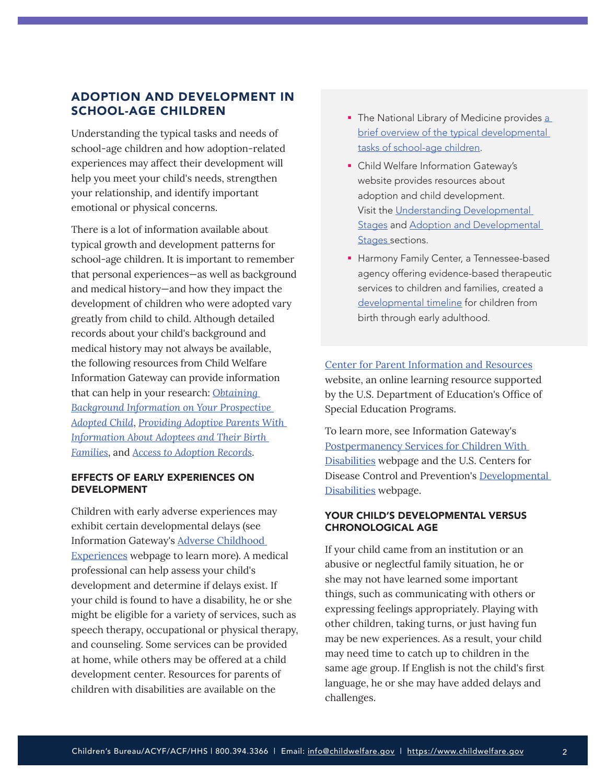## <span id="page-1-0"></span>ADOPTION AND DEVELOPMENT IN SCHOOL-AGE CHILDREN

Understanding the typical tasks and needs of school-age children and how adoption-related experiences may affect their development will help you meet your child's needs, strengthen your relationship, and identify important emotional or physical concerns.

There is a lot of information available about typical growth and development patterns for school-age children. It is important to remember that personal experiences—as well as background and medical history—and how they impact the development of children who were adopted vary greatly from child to child. Although detailed records about your child's background and medical history may not always be available, the following resources from Child Welfare Information Gateway can provide information that can help in your research: *[Obtaining](https://www.childwelfare.gov/pubs/f-background/)  [Background Information on Your Prospective](https://www.childwelfare.gov/pubs/f-background/)  [Adopted Child](https://www.childwelfare.gov/pubs/f-background/)*, *[Providing Adoptive Parents With](https://www.childwelfare.gov/topics/systemwide/laws-policies/statutes/collection/)  [Information About Adoptees and Their Birth](https://www.childwelfare.gov/topics/systemwide/laws-policies/statutes/collection/)  [Families](https://www.childwelfare.gov/topics/systemwide/laws-policies/statutes/collection/)*, and *[Access to Adoption Records](https://www.childwelfare.gov/topics/systemwide/laws-policies/statutes/infoaccessap/)*.

#### EFFECTS OF EARLY EXPERIENCES ON DEVELOPMENT

Children with early adverse experiences may exhibit certain developmental delays (see Information Gateway's [Adverse Childhood](https://www.childwelfare.gov/topics/preventing/overview/framework/aces/)  [Experiences](https://www.childwelfare.gov/topics/preventing/overview/framework/aces/) webpage to learn more). A medical professional can help assess your child's development and determine if delays exist. If your child is found to have a disability, he or she might be eligible for a variety of services, such as speech therapy, occupational or physical therapy, and counseling. Some services can be provided at home, while others may be offered at a child development center. Resources for parents of children with disabilities are available on the

- The National Library of Medicine provides a brief overview of the typical developmental [tasks of school-age children.](https://medlineplus.gov/ency/article/002017.htm)
- **Child Welfare Information Gateway's** website provides resources about adoption and child development. Visit the [Understanding Developmental](https://www.childwelfare.gov/topics/preventing/promoting/parenting/understanding/)  [Stages](https://www.childwelfare.gov/topics/preventing/promoting/parenting/understanding/) and [Adoption and Developmental](https://www.childwelfare.gov/topics/adoption/adopt-parenting/stages/)  [Stages](https://www.childwelfare.gov/topics/adoption/adopt-parenting/stages/) sections.
- **Harmony Family Center, a Tennessee-based** agency offering evidence-based therapeutic services to children and families, created a [developmental timeline](https://f703a7d7-8ac0-4f02-8b8d-b5183e4ac074.filesusr.com/ugd/434165_476d3343f2d241c192fc53084ba610f9.pdf) for children from birth through early adulthood.

[Center for Parent Information and Resources](https://www.parentcenterhub.org/) website, an online learning resource supported by the U.S. Department of Education's Office of Special Education Programs.

To learn more, see Information Gateway's [Postpermanency Services for Children With](https://www.childwelfare.gov/topics/adoption/adopt-parenting/services/disability/)  [Disabilities](https://www.childwelfare.gov/topics/adoption/adopt-parenting/services/disability/) webpage and the U.S. Centers for Disease Control and Prevention's [Developmental](https://www.cdc.gov/ncbddd/developmentaldisabilities/index.html)  [Disabilities](https://www.cdc.gov/ncbddd/developmentaldisabilities/index.html) webpage.

#### YOUR CHILD'S DEVELOPMENTAL VERSUS CHRONOLOGICAL AGE

If your child came from an institution or an abusive or neglectful family situation, he or she may not have learned some important things, such as communicating with others or expressing feelings appropriately. Playing with other children, taking turns, or just having fun may be new experiences. As a result, your child may need time to catch up to children in the same age group. If English is not the child's first language, he or she may have added delays and challenges.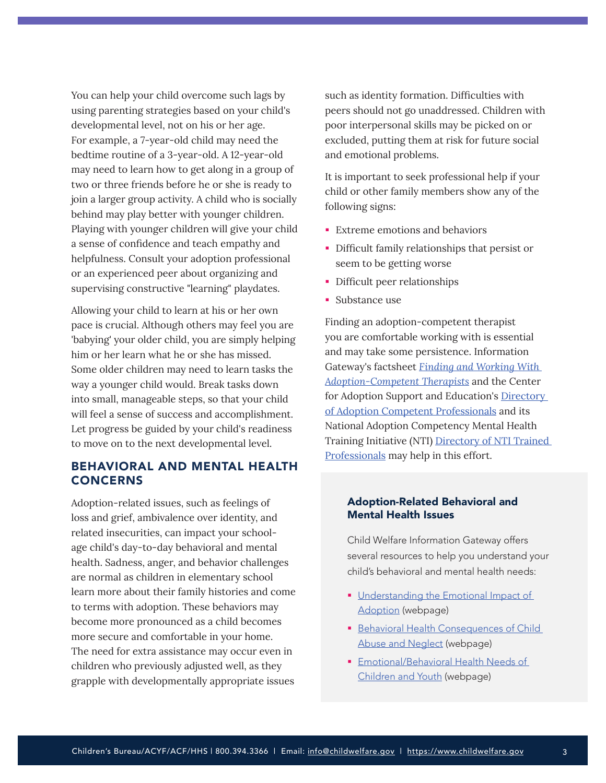You can help your child overcome such lags by using parenting strategies based on your child's developmental level, not on his or her age. For example, a 7-year-old child may need the bedtime routine of a 3-year-old. A 12-year-old may need to learn how to get along in a group of two or three friends before he or she is ready to join a larger group activity. A child who is socially behind may play better with younger children. Playing with younger children will give your child a sense of confidence and teach empathy and helpfulness. Consult your adoption professional or an experienced peer about organizing and supervising constructive "learning" playdates.

Allowing your child to learn at his or her own pace is crucial. Although others may feel you are 'babying' your older child, you are simply helping him or her learn what he or she has missed. Some older children may need to learn tasks the way a younger child would. Break tasks down into small, manageable steps, so that your child will feel a sense of success and accomplishment. Let progress be guided by your child's readiness to move on to the next developmental level.

## BEHAVIORAL AND MENTAL HEALTH CONCERNS

Adoption-related issues, such as feelings of loss and grief, ambivalence over identity, and related insecurities, can impact your schoolage child's day-to-day behavioral and mental health. Sadness, anger, and behavior challenges are normal as children in elementary school learn more about their family histories and come to terms with adoption. These behaviors may become more pronounced as a child becomes more secure and comfortable in your home. The need for extra assistance may occur even in children who previously adjusted well, as they grapple with developmentally appropriate issues

such as identity formation. Difficulties with peers should not go unaddressed. Children with poor interpersonal skills may be picked on or excluded, putting them at risk for future social and emotional problems.

It is important to seek professional help if your child or other family members show any of the following signs:

- **Extreme emotions and behaviors**
- Difficult family relationships that persist or seem to be getting worse
- Difficult peer relationships
- **Substance use**

Finding an adoption-competent therapist you are comfortable working with is essential and may take some persistence. Information Gateway's factsheet *[Finding and Working With](https://www.childwelfare.gov/pubs/f-therapist/)  [Adoption-Competent Therapists](https://www.childwelfare.gov/pubs/f-therapist/)* and the Center for Adoption Support and Education's Directory [of Adoption Competent Professionals](https://adoptionsupport.org/member-types/adoption-competent-professionals/) and its National Adoption Competency Mental Health Training Initiative (NTI) [Directory of NTI Trained](https://adoptionsupport.org/nti/trained-professionals/)  [Professionals](https://adoptionsupport.org/nti/trained-professionals/) may help in this effort.

#### Adoption-Related Behavioral and Mental Health Issues

Child Welfare Information Gateway offers several resources to help you understand your child's behavioral and mental health needs:

- **Understanding the Emotional Impact of** [Adoption](https://www.childwelfare.gov/topics/adoption/birthfor/emotional-impact/) (webpage)
- **Behavioral Health Consequences of Child** [Abuse and Neglect](https://www.childwelfare.gov/topics/can/impact/long-term-consequences-of-child-abuse-and-neglect/health/) (webpage)
- **Emotional/Behavioral Health Needs of** [Children and Youth](https://www.childwelfare.gov/topics/adoption/adopt-parenting/intercountry/healthneeds/) (webpage)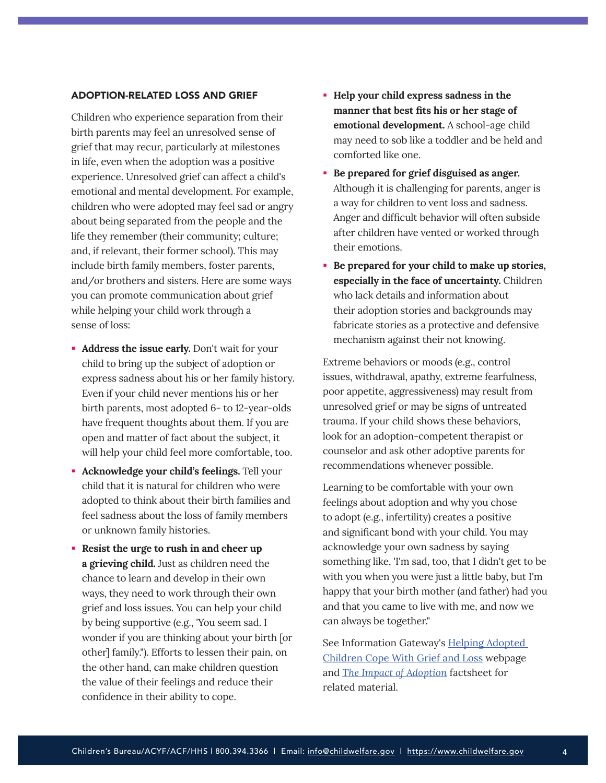#### <span id="page-3-0"></span>ADOPTION-RELATED LOSS AND GRIEF

Children who experience separation from their birth parents may feel an unresolved sense of grief that may recur, particularly at milestones in life, even when the adoption was a positive experience. Unresolved grief can affect a child's emotional and mental development. For example, children who were adopted may feel sad or angry about being separated from the people and the life they remember (their community; culture; and, if relevant, their former school). This may include birth family members, foster parents, and/or brothers and sisters. Here are some ways you can promote communication about grief while helping your child work through a sense of loss:

- **Address the issue early.** Don't wait for your child to bring up the subject of adoption or express sadness about his or her family history. Even if your child never mentions his or her birth parents, most adopted 6- to 12-year-olds have frequent thoughts about them. If you are open and matter of fact about the subject, it will help your child feel more comfortable, too.
- **Acknowledge your child's feelings.** Tell your child that it is natural for children who were adopted to think about their birth families and feel sadness about the loss of family members or unknown family histories.
- **Resist the urge to rush in and cheer up a grieving child.** Just as children need the chance to learn and develop in their own ways, they need to work through their own grief and loss issues. You can help your child by being supportive (e.g., 'You seem sad. I wonder if you are thinking about your birth [or other] family."). Efforts to lessen their pain, on the other hand, can make children question the value of their feelings and reduce their confidence in their ability to cope.
- **Help your child express sadness in the manner that best fits his or her stage of emotional development.** A school-age child may need to sob like a toddler and be held and comforted like one.
- **Be prepared for grief disguised as anger.** Although it is challenging for parents, anger is a way for children to vent loss and sadness. Anger and difficult behavior will often subside after children have vented or worked through their emotions.
- **Be prepared for your child to make up stories, especially in the face of uncertainty.** Children who lack details and information about their adoption stories and backgrounds may fabricate stories as a protective and defensive mechanism against their not knowing.

Extreme behaviors or moods (e.g., control issues, withdrawal, apathy, extreme fearfulness, poor appetite, aggressiveness) may result from unresolved grief or may be signs of untreated trauma. If your child shows these behaviors, look for an adoption-competent therapist or counselor and ask other adoptive parents for recommendations whenever possible.

Learning to be comfortable with your own feelings about adoption and why you chose to adopt (e.g., infertility) creates a positive and significant bond with your child. You may acknowledge your own sadness by saying something like, 'I'm sad, too, that I didn't get to be with you when you were just a little baby, but I'm happy that your birth mother (and father) had you and that you came to live with me, and now we can always be together."

See Information Gateway's [Helping Adopted](https://www.childwelfare.gov/topics/adoption/adopt-parenting/helping/)  [Children Cope With Grief and Loss](https://www.childwelfare.gov/topics/adoption/adopt-parenting/helping/) webpage and *[The Impact of Adoption](https://www.childwelfare.gov/pubs/factsheets-families-adoptionimpact/)* factsheet for related material.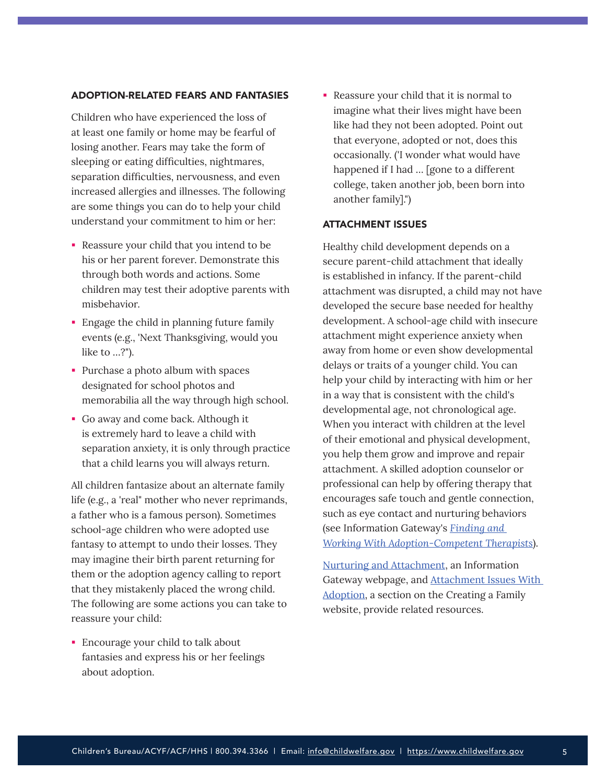#### ADOPTION-RELATED FEARS AND FANTASIES

Children who have experienced the loss of at least one family or home may be fearful of losing another. Fears may take the form of sleeping or eating difficulties, nightmares, separation difficulties, nervousness, and even increased allergies and illnesses. The following are some things you can do to help your child understand your commitment to him or her:

- Reassure your child that you intend to be his or her parent forever. Demonstrate this through both words and actions. Some children may test their adoptive parents with misbehavior.
- **Engage the child in planning future family** events (e.g., 'Next Thanksgiving, would you like to …?").
- Purchase a photo album with spaces designated for school photos and memorabilia all the way through high school.
- Go away and come back. Although it is extremely hard to leave a child with separation anxiety, it is only through practice that a child learns you will always return.

All children fantasize about an alternate family life (e.g., a 'real" mother who never reprimands, a father who is a famous person). Sometimes school-age children who were adopted use fantasy to attempt to undo their losses. They may imagine their birth parent returning for them or the adoption agency calling to report that they mistakenly placed the wrong child. The following are some actions you can take to reassure your child:

 Encourage your child to talk about fantasies and express his or her feelings about adoption.

 Reassure your child that it is normal to imagine what their lives might have been like had they not been adopted. Point out that everyone, adopted or not, does this occasionally. ('I wonder what would have happened if I had ... [gone to a different college, taken another job, been born into another family].")

#### ATTACHMENT ISSUES

Healthy child development depends on a secure parent-child attachment that ideally is established in infancy. If the parent-child attachment was disrupted, a child may not have developed the secure base needed for healthy development. A school-age child with insecure attachment might experience anxiety when away from home or even show developmental delays or traits of a younger child. You can help your child by interacting with him or her in a way that is consistent with the child's developmental age, not chronological age. When you interact with children at the level of their emotional and physical development, you help them grow and improve and repair attachment. A skilled adoption counselor or professional can help by offering therapy that encourages safe touch and gentle connection, such as eye contact and nurturing behaviors (see Information Gateway's *[Finding and](https://www.childwelfare.gov/pubs/f-therapist/)  [Working With Adoption-Competent Therapists](https://www.childwelfare.gov/pubs/f-therapist/)*).

[Nurturing and Attachment,](https://www.childwelfare.gov/topics/preventing/promoting/protectfactors/nurture-attach/) an Information Gateway webpage, and [Attachment Issues With](https://creatingafamily.org/adoption/resources/attachment-issues-with-adoption/)  [Adoption,](https://creatingafamily.org/adoption/resources/attachment-issues-with-adoption/) a section on the Creating a Family website, provide related resources.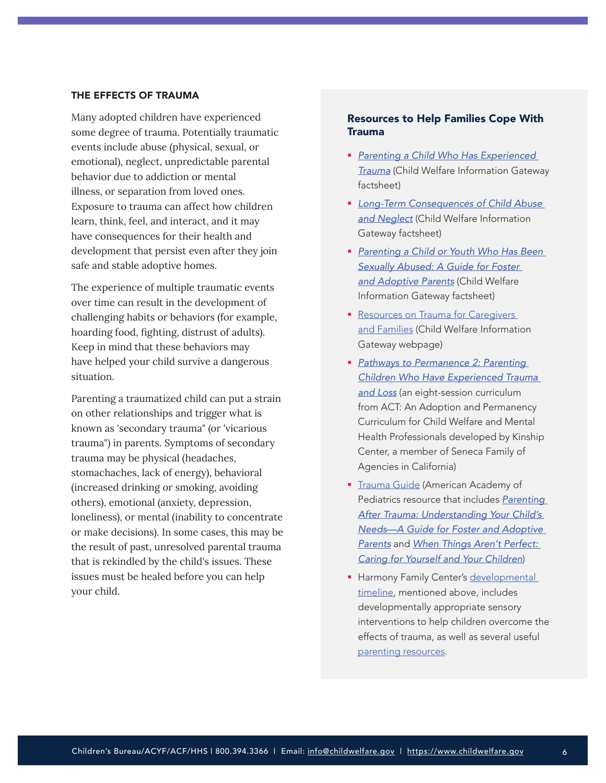#### THE EFFECTS OF TRAUMA

Many adopted children have experienced some degree of trauma. Potentially traumatic events include abuse (physical, sexual, or emotional), neglect, unpredictable parental behavior due to addiction or mental illness, or separation from loved ones. Exposure to trauma can affect how children learn, think, feel, and interact, and it may have consequences for their health and development that persist even after they join safe and stable adoptive homes.

The experience of multiple traumatic events over time can result in the development of challenging habits or behaviors (for example, hoarding food, fighting, distrust of adults). Keep in mind that these behaviors may have helped your child survive a dangerous situation.

Parenting a traumatized child can put a strain on other relationships and trigger what is known as 'secondary trauma" (or 'vicarious trauma") in parents. Symptoms of secondary trauma may be physical (headaches, stomachaches, lack of energy), behavioral (increased drinking or smoking, avoiding others), emotional (anxiety, depression, loneliness), or mental (inability to concentrate or make decisions). In some cases, this may be the result of past, unresolved parental trauma that is rekindled by the child's issues. These issues must be healed before you can help your child.

#### Resources to Help Families Cope With Trauma

- *[Parenting a Child Who Has Experienced](https://www.childwelfare.gov/pubs/factsheets/child-trauma/)  [Trauma](https://www.childwelfare.gov/pubs/factsheets/child-trauma/)* (Child Welfare Information Gateway factsheet)
- *[Long-Term Consequences of Child Abuse](https://www.childwelfare.gov/pubs/factsheets/long-term-consequences/)  [and Neglect](https://www.childwelfare.gov/pubs/factsheets/long-term-consequences/)* (Child Welfare Information Gateway factsheet)
- *[Parenting a Child or Youth Who Has Been](https://www.childwelfare.gov/pubs/f-abused/)  [Sexually Abused: A Guide for Foster](https://www.childwelfare.gov/pubs/f-abused/)  [and Adoptive Parents](https://www.childwelfare.gov/pubs/f-abused/)* (Child Welfare Information Gateway factsheet)
- Resources on Trauma for Caregivers [and Families](https://www.childwelfare.gov/topics/responding/trauma/caregivers/) (Child Welfare Information Gateway webpage)
- *[Pathways to Permanence 2: Parenting](https://www.adoption.on.ca/pathways-to-permanence-2)  [Children Who Have Experienced Trauma](https://www.adoption.on.ca/pathways-to-permanence-2)  [and Loss](https://www.adoption.on.ca/pathways-to-permanence-2)* (an eight-session curriculum from ACT: An Adoption and Permanency Curriculum for Child Welfare and Mental Health Professionals developed by Kinship Center, a member of Seneca Family of Agencies in California)
- [Trauma Guide](https://www.aap.org/en-us/advocacy-and-policy/aap-health-initiatives/healthy-foster-care-america/Pages/Trauma-Guide.aspx) (American Academy of Pediatrics resource that includes *[Parenting](https://www.aap.org/en-us/advocacy-and-policy/aap-health-initiatives/healthy-foster-care-america/Documents/FamilyHandout.pdf)  [After Trauma: Understanding Your Child's](https://www.aap.org/en-us/advocacy-and-policy/aap-health-initiatives/healthy-foster-care-america/Documents/FamilyHandout.pdf)  [Needs—A Guide for Foster and Adoptive](https://www.aap.org/en-us/advocacy-and-policy/aap-health-initiatives/healthy-foster-care-america/Documents/FamilyHandout.pdf)  [Parents](https://www.aap.org/en-us/advocacy-and-policy/aap-health-initiatives/healthy-foster-care-america/Documents/FamilyHandout.pdf)* and *[When Things Aren't Perfect:](https://www.aap.org/en-us/Documents/ttb_caring_for_yourself.pdf)  [Caring for Yourself and Your Children](https://www.aap.org/en-us/Documents/ttb_caring_for_yourself.pdf)*)
- **Harmony Family Center's developmental** [timeline,](https://f703a7d7-8ac0-4f02-8b8d-b5183e4ac074.filesusr.com/ugd/434165_476d3343f2d241c192fc53084ba610f9.pdf) mentioned above, includes developmentally appropriate sensory interventions to help children overcome the effects of trauma, as well as several useful [parenting resources.](https://www.harmonyfamilycenter.org/harmony-at-home)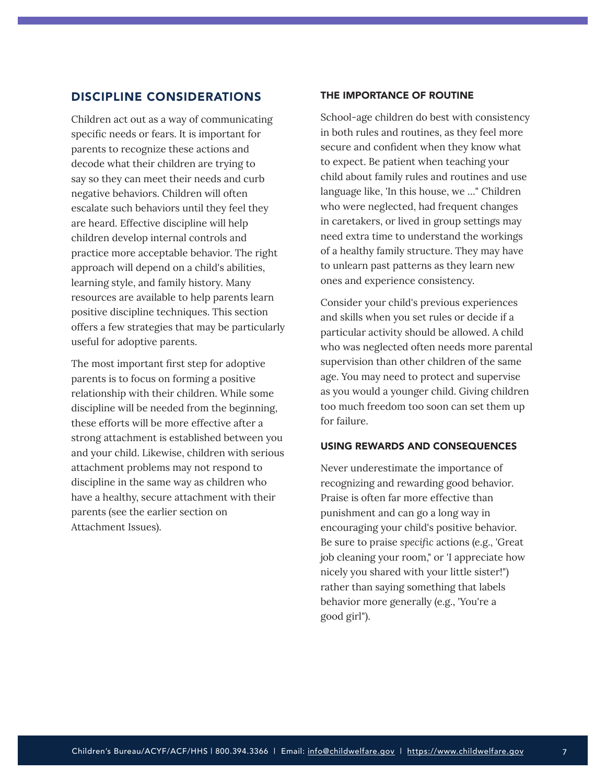### <span id="page-6-0"></span>DISCIPLINE CONSIDERATIONS

Children act out as a way of communicating specific needs or fears. It is important for parents to recognize these actions and decode what their children are trying to say so they can meet their needs and curb negative behaviors. Children will often escalate such behaviors until they feel they are heard. Effective discipline will help children develop internal controls and practice more acceptable behavior. The right approach will depend on a child's abilities, learning style, and family history. Many resources are available to help parents learn positive discipline techniques. This section offers a few strategies that may be particularly useful for adoptive parents.

The most important first step for adoptive parents is to focus on forming a positive relationship with their children. While some discipline will be needed from the beginning, these efforts will be more effective after a strong attachment is established between you and your child. Likewise, children with serious attachment problems may not respond to discipline in the same way as children who have a healthy, secure attachment with their parents (see the earlier section on Attachment Issues).

#### THE IMPORTANCE OF ROUTINE

School-age children do best with consistency in both rules and routines, as they feel more secure and confident when they know what to expect. Be patient when teaching your child about family rules and routines and use language like, 'In this house, we …" Children who were neglected, had frequent changes in caretakers, or lived in group settings may need extra time to understand the workings of a healthy family structure. They may have to unlearn past patterns as they learn new ones and experience consistency.

Consider your child's previous experiences and skills when you set rules or decide if a particular activity should be allowed. A child who was neglected often needs more parental supervision than other children of the same age. You may need to protect and supervise as you would a younger child. Giving children too much freedom too soon can set them up for failure.

#### USING REWARDS AND CONSEQUENCES

Never underestimate the importance of recognizing and rewarding good behavior. Praise is often far more effective than punishment and can go a long way in encouraging your child's positive behavior. Be sure to praise *specific* actions (e.g., 'Great job cleaning your room," or 'I appreciate how nicely you shared with your little sister!") rather than saying something that labels behavior more generally (e.g., 'You're a good girl").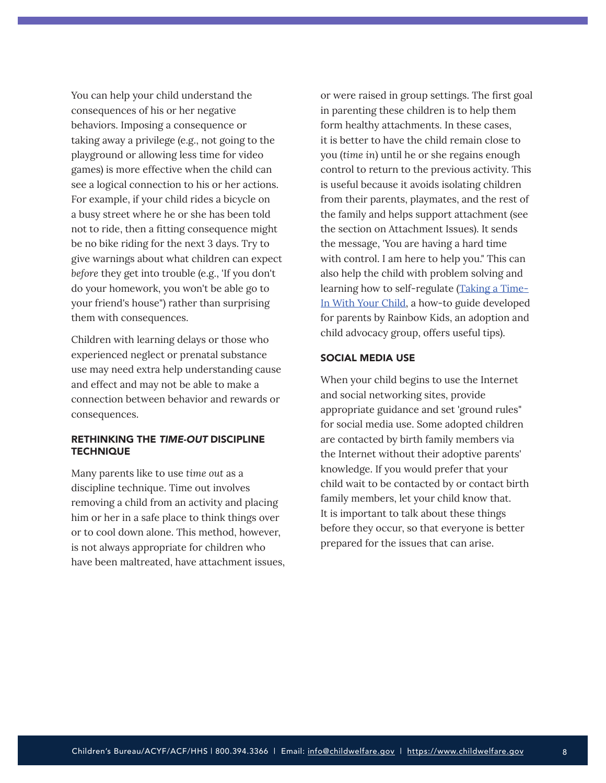You can help your child understand the consequences of his or her negative behaviors. Imposing a consequence or taking away a privilege (e.g., not going to the playground or allowing less time for video games) is more effective when the child can see a logical connection to his or her actions. For example, if your child rides a bicycle on a busy street where he or she has been told not to ride, then a fitting consequence might be no bike riding for the next 3 days. Try to give warnings about what children can expect *before* they get into trouble (e.g., 'If you don't do your homework, you won't be able go to your friend's house") rather than surprising them with consequences.

Children with learning delays or those who experienced neglect or prenatal substance use may need extra help understanding cause and effect and may not be able to make a connection between behavior and rewards or consequences.

#### RETHINKING THE *TIME-OUT* DISCIPLINE **TECHNIQUE**

Many parents like to use *time out* as a discipline technique. Time out involves removing a child from an activity and placing him or her in a safe place to think things over or to cool down alone. This method, however, is not always appropriate for children who have been maltreated, have attachment issues, or were raised in group settings. The first goal in parenting these children is to help them form healthy attachments. In these cases, it is better to have the child remain close to you (*time in*) until he or she regains enough control to return to the previous activity. This is useful because it avoids isolating children from their parents, playmates, and the rest of the family and helps support attachment (see the section on Attachment Issues). It sends the message, 'You are having a hard time with control. I am here to help you." This can also help the child with problem solving and learning how to self-regulate [\(Taking a Time-](https://www.rainbowkids.com/adoption-stories/taking-a-time-in-with-your-child-648)[In With Your Child](https://www.rainbowkids.com/adoption-stories/taking-a-time-in-with-your-child-648), a how-to guide developed for parents by Rainbow Kids, an adoption and child advocacy group, offers useful tips).

#### SOCIAL MEDIA USE

When your child begins to use the Internet and social networking sites, provide appropriate guidance and set 'ground rules" for social media use. Some adopted children are contacted by birth family members via the Internet without their adoptive parents' knowledge. If you would prefer that your child wait to be contacted by or contact birth family members, let your child know that. It is important to talk about these things before they occur, so that everyone is better prepared for the issues that can arise.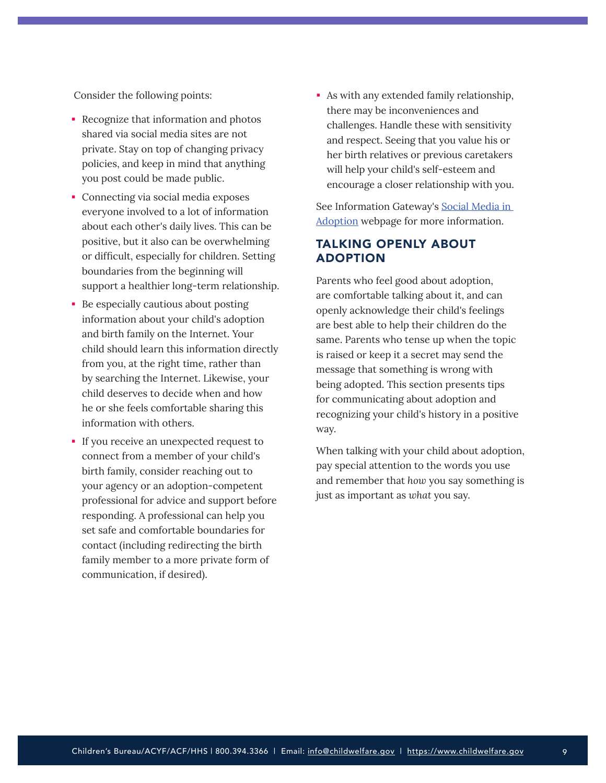<span id="page-8-0"></span>Consider the following points:

- Recognize that information and photos shared via social media sites are not private. Stay on top of changing privacy policies, and keep in mind that anything you post could be made public.
- Connecting via social media exposes everyone involved to a lot of information about each other's daily lives. This can be positive, but it also can be overwhelming or difficult, especially for children. Setting boundaries from the beginning will support a healthier long-term relationship.
- **Be especially cautious about posting** information about your child's adoption and birth family on the Internet. Your child should learn this information directly from you, at the right time, rather than by searching the Internet. Likewise, your child deserves to decide when and how he or she feels comfortable sharing this information with others.
- If you receive an unexpected request to connect from a member of your child's birth family, consider reaching out to your agency or an adoption-competent professional for advice and support before responding. A professional can help you set safe and comfortable boundaries for contact (including redirecting the birth family member to a more private form of communication, if desired).

 As with any extended family relationship, there may be inconveniences and challenges. Handle these with sensitivity and respect. Seeing that you value his or her birth relatives or previous caretakers will help your child's self-esteem and encourage a closer relationship with you.

See Information Gateway's [Social Media in](https://www.childwelfare.gov/topics/adoption/intro/social-media-adoption/)  [Adoption](https://www.childwelfare.gov/topics/adoption/intro/social-media-adoption/) webpage for more information.

## TALKING OPENLY ABOUT ADOPTION

Parents who feel good about adoption, are comfortable talking about it, and can openly acknowledge their child's feelings are best able to help their children do the same. Parents who tense up when the topic is raised or keep it a secret may send the message that something is wrong with being adopted. This section presents tips for communicating about adoption and recognizing your child's history in a positive way.

When talking with your child about adoption, pay special attention to the words you use and remember that *how* you say something is just as important as *what* you say.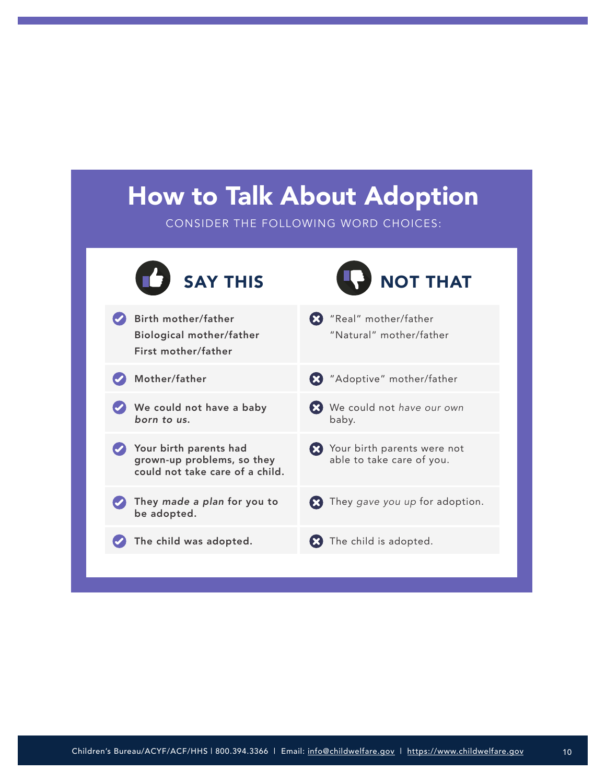## How to Talk About Adoption

CONSIDER THE FOLLOWING WORD CHOICES:

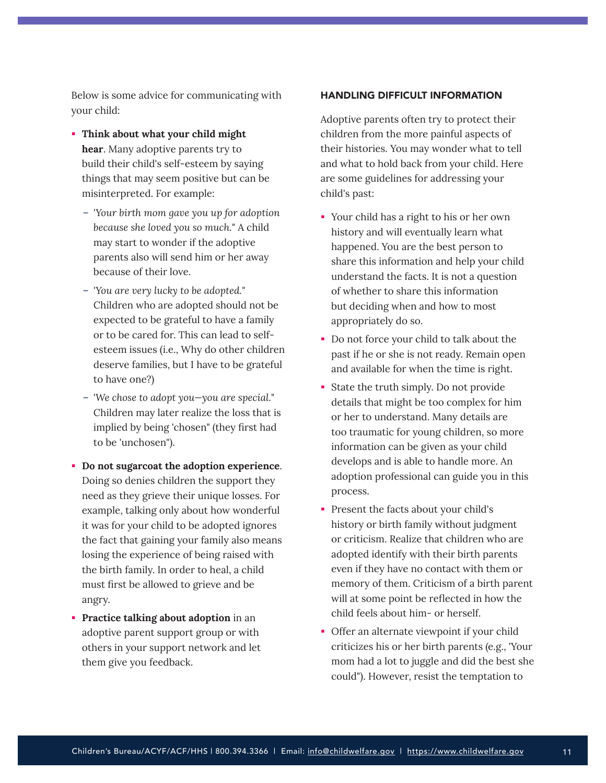Below is some advice for communicating with your child:

- **Think about what your child might hear**. Many adoptive parents try to build their child's self-esteem by saying things that may seem positive but can be misinterpreted. For example:
	- '*Your birth mom gave you up for adoption because she loved you so much.*" A child may start to wonder if the adoptive parents also will send him or her away because of their love.
	- '*You are very lucky to be adopted.*" Children who are adopted should not be expected to be grateful to have a family or to be cared for. This can lead to selfesteem issues (i.e., Why do other children deserve families, but I have to be grateful to have one?)
	- '*We chose to adopt you—you are special.*" Children may later realize the loss that is implied by being 'chosen" (they first had to be 'unchosen").
- **Do not sugarcoat the adoption experience**. Doing so denies children the support they need as they grieve their unique losses. For example, talking only about how wonderful it was for your child to be adopted ignores the fact that gaining your family also means losing the experience of being raised with the birth family. In order to heal, a child must first be allowed to grieve and be angry.
- **Practice talking about adoption** in an adoptive parent support group or with others in your support network and let them give you feedback.

#### HANDLING DIFFICULT INFORMATION

Adoptive parents often try to protect their children from the more painful aspects of their histories. You may wonder what to tell and what to hold back from your child. Here are some guidelines for addressing your child's past:

- Your child has a right to his or her own history and will eventually learn what happened. You are the best person to share this information and help your child understand the facts. It is not a question of whether to share this information but deciding when and how to most appropriately do so.
- Do not force your child to talk about the past if he or she is not ready. Remain open and available for when the time is right.
- State the truth simply. Do not provide details that might be too complex for him or her to understand. Many details are too traumatic for young children, so more information can be given as your child develops and is able to handle more. An adoption professional can guide you in this process.
- Present the facts about your child's history or birth family without judgment or criticism. Realize that children who are adopted identify with their birth parents even if they have no contact with them or memory of them. Criticism of a birth parent will at some point be reflected in how the child feels about him- or herself.
- Offer an alternate viewpoint if your child criticizes his or her birth parents (e.g., 'Your mom had a lot to juggle and did the best she could"). However, resist the temptation to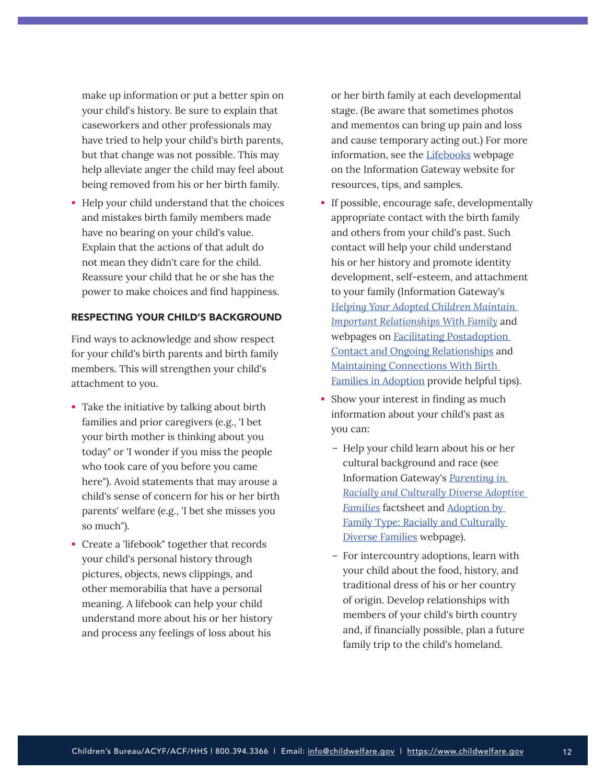make up information or put a better spin on your child's history. Be sure to explain that caseworkers and other professionals may have tried to help your child's birth parents, but that change was not possible. This may help alleviate anger the child may feel about being removed from his or her birth family.

Help your child understand that the choices and mistakes birth family members made have no bearing on your child's value. Explain that the actions of that adult do not mean they didn't care for the child. Reassure your child that he or she has the power to make choices and find happiness.

#### RESPECTING YOUR CHILD'S BACKGROUND

Find ways to acknowledge and show respect for your child's birth parents and birth family members. This will strengthen your child's attachment to you.

- Take the initiative by talking about birth families and prior caregivers (e.g., 'I bet your birth mother is thinking about you today" or 'I wonder if you miss the people who took care of you before you came here"). Avoid statements that may arouse a child's sense of concern for his or her birth parents' welfare (e.g., 'I bet she misses you so much").
- Create a 'lifebook" together that records your child's personal history through pictures, objects, news clippings, and other memorabilia that have a personal meaning. A lifebook can help your child understand more about his or her history and process any feelings of loss about his

or her birth family at each developmental stage. (Be aware that sometimes photos and mementos can bring up pain and loss and cause temporary acting out.) For more information, see the **Lifebooks** webpage on the Information Gateway website for resources, tips, and samples.

- If possible, encourage safe, developmentally appropriate contact with the birth family and others from your child's past. Such contact will help your child understand his or her history and promote identity development, self-esteem, and attachment to your family (Information Gateway's *[Helping Your Adopted Children Maintain](https://www.childwelfare.gov/pubs/factsheets-families-maintainrelationships/)  [Important Relationships With Family](https://www.childwelfare.gov/pubs/factsheets-families-maintainrelationships/)* and webpages on Facilitating Postadoption [Contact and Ongoing Relationships](https://www.childwelfare.gov/topics/adoption/postplacement/connections/facilitating-postadoption-contact-and-openness/) and [Maintaining Connections With Birth](https://www.childwelfare.gov/topics/adoption/preplacement/adoption-openness/)  [Families in Adoption](https://www.childwelfare.gov/topics/adoption/preplacement/adoption-openness/) provide helpful tips).
- Show your interest in finding as much information about your child's past as you can:
	- Help your child learn about his or her cultural background and race (see Information Gateway's *[Parenting in](https://www.childwelfare.gov/pubs/parenting-diverse-families/)  [Racially and Culturally Diverse Adoptive](https://www.childwelfare.gov/pubs/parenting-diverse-families/)  [Families](https://www.childwelfare.gov/pubs/parenting-diverse-families/)* factsheet and [Adoption by](https://www.childwelfare.gov/topics/adoption/adoptive/family-type/diversefamilies/)  [Family Type: Racially and Culturally](https://www.childwelfare.gov/topics/adoption/adoptive/family-type/diversefamilies/)  [Diverse Families](https://www.childwelfare.gov/topics/adoption/adoptive/family-type/diversefamilies/) webpage).
	- For intercountry adoptions, learn with your child about the food, history, and traditional dress of his or her country of origin. Develop relationships with members of your child's birth country and, if financially possible, plan a future family trip to the child's homeland.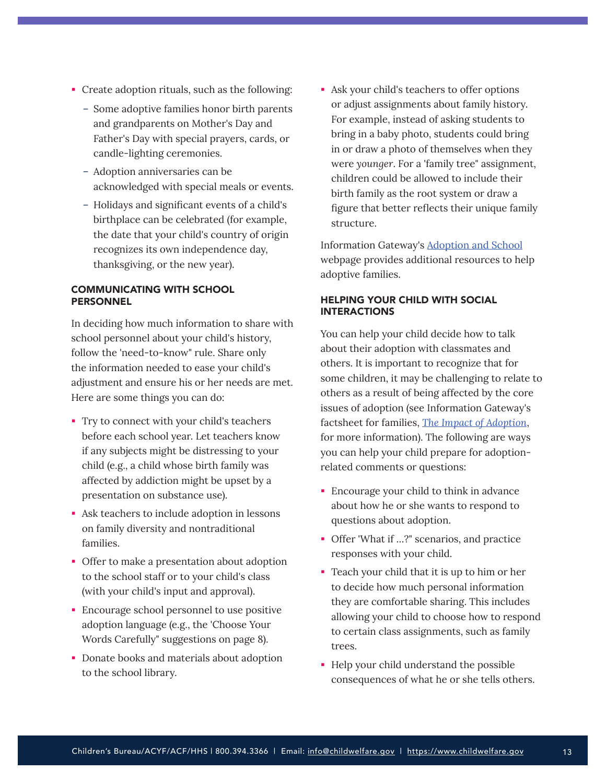- Create adoption rituals, such as the following:
	- Some adoptive families honor birth parents and grandparents on Mother's Day and Father's Day with special prayers, cards, or candle-lighting ceremonies.
	- Adoption anniversaries can be acknowledged with special meals or events.
	- Holidays and significant events of a child's birthplace can be celebrated (for example, the date that your child's country of origin recognizes its own independence day, thanksgiving, or the new year).

#### COMMUNICATING WITH SCHOOL **PERSONNEL**

In deciding how much information to share with school personnel about your child's history, follow the 'need-to-know" rule. Share only the information needed to ease your child's adjustment and ensure his or her needs are met. Here are some things you can do:

- Try to connect with your child's teachers before each school year. Let teachers know if any subjects might be distressing to your child (e.g., a child whose birth family was affected by addiction might be upset by a presentation on substance use).
- Ask teachers to include adoption in lessons on family diversity and nontraditional families.
- Offer to make a presentation about adoption to the school staff or to your child's class (with your child's input and approval).
- **Encourage school personnel to use positive** adoption language (e.g., the 'Choose Your Words Carefully" suggestions on page 8).
- **Donate books and materials about adoption** to the school library.

 Ask your child's teachers to offer options or adjust assignments about family history. For example, instead of asking students to bring in a baby photo, students could bring in or draw a photo of themselves when they were *younger*. For a 'family tree" assignment, children could be allowed to include their birth family as the root system or draw a figure that better reflects their unique family structure.

Information Gateway's [Adoption and School](https://www.childwelfare.gov/topics/adoption/adopt-parenting/school/) webpage provides additional resources to help adoptive families.

#### HELPING YOUR CHILD WITH SOCIAL INTERACTIONS

You can help your child decide how to talk about their adoption with classmates and others. It is important to recognize that for some children, it may be challenging to relate to others as a result of being affected by the core issues of adoption (see Information Gateway's factsheet for families, *[The Impact of Adoption](https://www.childwelfare.gov/pubs/factsheets-families-adoptionimpact/)*, for more information). The following are ways you can help your child prepare for adoptionrelated comments or questions:

- Encourage your child to think in advance about how he or she wants to respond to questions about adoption.
- Offer 'What if ...?" scenarios, and practice responses with your child.
- Teach your child that it is up to him or her to decide how much personal information they are comfortable sharing. This includes allowing your child to choose how to respond to certain class assignments, such as family trees.
- Help your child understand the possible consequences of what he or she tells others.